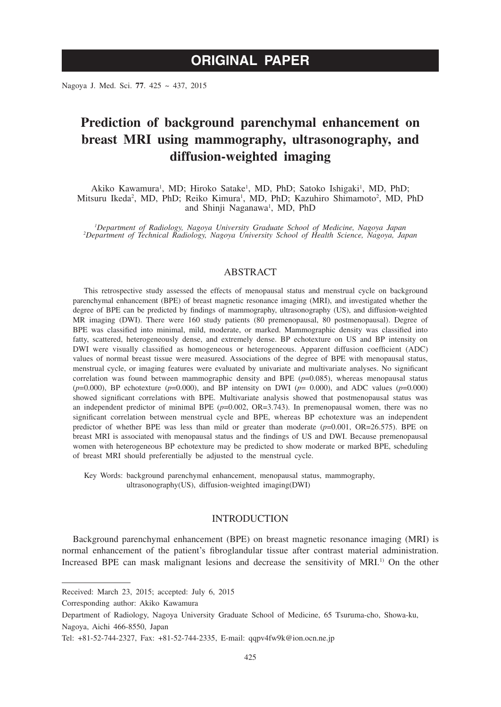Nagoya J. Med. Sci. **77**. 425 ~ 437, 2015

# **Prediction of background parenchymal enhancement on breast MRI using mammography, ultrasonography, and diffusion-weighted imaging**

Akiko Kawamura<sup>1</sup>, MD; Hiroko Satake<sup>1</sup>, MD, PhD; Satoko Ishigaki<sup>1</sup>, MD, PhD; Mitsuru Ikeda<sup>2</sup>, MD, PhD; Reiko Kimura<sup>1</sup>, MD, PhD; Kazuhiro Shimamoto<sup>2</sup>, MD, PhD and Shinji Naganawa<sup>1</sup>, MD, PhD

*1 Department of Radiology, Nagoya University Graduate School of Medicine, Nagoya Japan <sup>2</sup> Department of Technical Radiology, Nagoya University School of Health Science, Nagoya, Japan*

# ABSTRACT

This retrospective study assessed the effects of menopausal status and menstrual cycle on background parenchymal enhancement (BPE) of breast magnetic resonance imaging (MRI), and investigated whether the degree of BPE can be predicted by findings of mammography, ultrasonography (US), and diffusion-weighted MR imaging (DWI). There were 160 study patients (80 premenopausal, 80 postmenopausal). Degree of BPE was classified into minimal, mild, moderate, or marked. Mammographic density was classified into fatty, scattered, heterogeneously dense, and extremely dense. BP echotexture on US and BP intensity on DWI were visually classified as homogeneous or heterogeneous. Apparent diffusion coefficient (ADC) values of normal breast tissue were measured. Associations of the degree of BPE with menopausal status, menstrual cycle, or imaging features were evaluated by univariate and multivariate analyses. No significant correlation was found between mammographic density and BPE  $(p=0.085)$ , whereas menopausal status  $(p=0.000)$ , BP echotexture  $(p=0.000)$ , and BP intensity on DWI  $(p= 0.000)$ , and ADC values  $(p=0.000)$ showed significant correlations with BPE. Multivariate analysis showed that postmenopausal status was an independent predictor of minimal BPE (*p*=0.002, OR=3.743). In premenopausal women, there was no significant correlation between menstrual cycle and BPE, whereas BP echotexture was an independent predictor of whether BPE was less than mild or greater than moderate (*p*=0.001, OR=26.575). BPE on breast MRI is associated with menopausal status and the findings of US and DWI. Because premenopausal women with heterogeneous BP echotexture may be predicted to show moderate or marked BPE, scheduling of breast MRI should preferentially be adjusted to the menstrual cycle.

Key Words: background parenchymal enhancement, menopausal status, mammography, ultrasonography(US), diffusion-weighted imaging(DWI)

# INTRODUCTION

Background parenchymal enhancement (BPE) on breast magnetic resonance imaging (MRI) is normal enhancement of the patient's fibroglandular tissue after contrast material administration. Increased BPE can mask malignant lesions and decrease the sensitivity of MRI.<sup>1)</sup> On the other

Corresponding author: Akiko Kawamura

Department of Radiology, Nagoya University Graduate School of Medicine, 65 Tsuruma-cho, Showa-ku, Nagoya, Aichi 466-8550, Japan

Received: March 23, 2015; accepted: July 6, 2015

Tel: +81-52-744-2327, Fax: +81-52-744-2335, E-mail: qqpv4fw9k@ion.ocn.ne.jp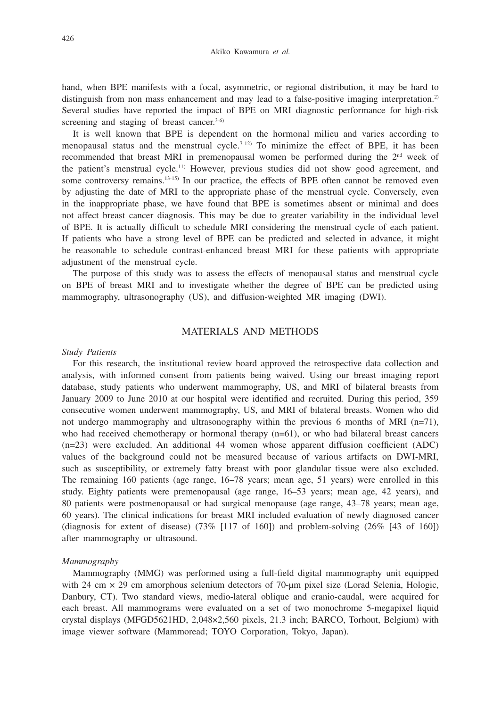hand, when BPE manifests with a focal, asymmetric, or regional distribution, it may be hard to distinguish from non mass enhancement and may lead to a false-positive imaging interpretation.<sup>2)</sup> Several studies have reported the impact of BPE on MRI diagnostic performance for high-risk screening and staging of breast cancer. $3-6$ 

It is well known that BPE is dependent on the hormonal milieu and varies according to menopausal status and the menstrual cycle.<sup>7-12)</sup> To minimize the effect of BPE, it has been recommended that breast MRI in premenopausal women be performed during the  $2<sup>nd</sup>$  week of the patient's menstrual cycle.11) However, previous studies did not show good agreement, and some controversy remains.<sup>13-15)</sup> In our practice, the effects of BPE often cannot be removed even by adjusting the date of MRI to the appropriate phase of the menstrual cycle. Conversely, even in the inappropriate phase, we have found that BPE is sometimes absent or minimal and does not affect breast cancer diagnosis. This may be due to greater variability in the individual level of BPE. It is actually difficult to schedule MRI considering the menstrual cycle of each patient. If patients who have a strong level of BPE can be predicted and selected in advance, it might be reasonable to schedule contrast-enhanced breast MRI for these patients with appropriate adjustment of the menstrual cycle.

The purpose of this study was to assess the effects of menopausal status and menstrual cycle on BPE of breast MRI and to investigate whether the degree of BPE can be predicted using mammography, ultrasonography (US), and diffusion-weighted MR imaging (DWI).

# MATERIALS AND METHODS

#### *Study Patients*

For this research, the institutional review board approved the retrospective data collection and analysis, with informed consent from patients being waived. Using our breast imaging report database, study patients who underwent mammography, US, and MRI of bilateral breasts from January 2009 to June 2010 at our hospital were identified and recruited. During this period, 359 consecutive women underwent mammography, US, and MRI of bilateral breasts. Women who did not undergo mammography and ultrasonography within the previous 6 months of MRI  $(n=71)$ , who had received chemotherapy or hormonal therapy  $(n=61)$ , or who had bilateral breast cancers (n=23) were excluded. An additional 44 women whose apparent diffusion coefficient (ADC) values of the background could not be measured because of various artifacts on DWI-MRI, such as susceptibility, or extremely fatty breast with poor glandular tissue were also excluded. The remaining 160 patients (age range, 16–78 years; mean age, 51 years) were enrolled in this study. Eighty patients were premenopausal (age range, 16–53 years; mean age, 42 years), and 80 patients were postmenopausal or had surgical menopause (age range, 43–78 years; mean age, 60 years). The clinical indications for breast MRI included evaluation of newly diagnosed cancer (diagnosis for extent of disease)  $(73\%$  [117 of 160]) and problem-solving  $(26\%$  [43 of 160]) after mammography or ultrasound.

# *Mammography*

Mammography (MMG) was performed using a full-field digital mammography unit equipped with 24 cm × 29 cm amorphous selenium detectors of 70-μm pixel size (Lorad Selenia, Hologic, Danbury, CT). Two standard views, medio-lateral oblique and cranio-caudal, were acquired for each breast. All mammograms were evaluated on a set of two monochrome 5-megapixel liquid crystal displays (MFGD5621HD, 2,048×2,560 pixels, 21.3 inch; BARCO, Torhout, Belgium) with image viewer software (Mammoread; TOYO Corporation, Tokyo, Japan).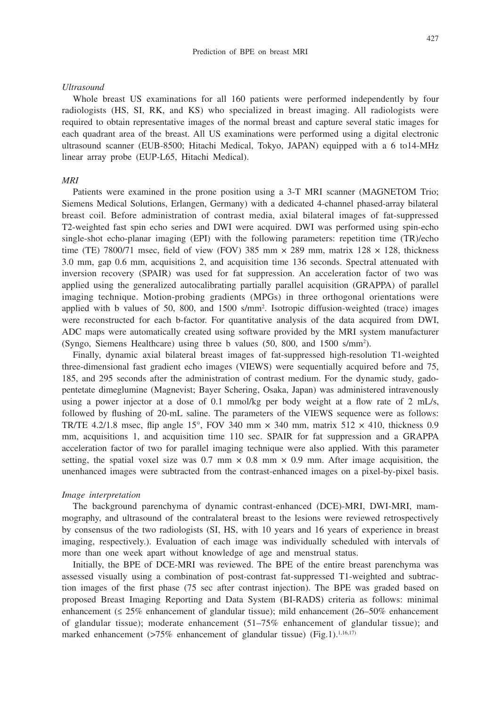#### *Ultrasound*

Whole breast US examinations for all 160 patients were performed independently by four radiologists (HS, SI, RK, and KS) who specialized in breast imaging. All radiologists were required to obtain representative images of the normal breast and capture several static images for each quadrant area of the breast. All US examinations were performed using a digital electronic ultrasound scanner (EUB-8500; Hitachi Medical, Tokyo, JAPAN) equipped with a 6 to14-MHz linear array probe (EUP-L65, Hitachi Medical).

## *MRI*

Patients were examined in the prone position using a 3-T MRI scanner (MAGNETOM Trio; Siemens Medical Solutions, Erlangen, Germany) with a dedicated 4-channel phased-array bilateral breast coil. Before administration of contrast media, axial bilateral images of fat-suppressed T2-weighted fast spin echo series and DWI were acquired. DWI was performed using spin-echo single-shot echo-planar imaging (EPI) with the following parameters: repetition time (TR)/echo time (TE) 7800/71 msec, field of view (FOV) 385 mm  $\times$  289 mm, matrix 128  $\times$  128, thickness 3.0 mm, gap 0.6 mm, acquisitions 2, and acquisition time 136 seconds. Spectral attenuated with inversion recovery (SPAIR) was used for fat suppression. An acceleration factor of two was applied using the generalized autocalibrating partially parallel acquisition (GRAPPA) of parallel imaging technique. Motion-probing gradients (MPGs) in three orthogonal orientations were applied with b values of 50, 800, and 1500 s/mm2 . Isotropic diffusion-weighted (trace) images were reconstructed for each b-factor. For quantitative analysis of the data acquired from DWI, ADC maps were automatically created using software provided by the MRI system manufacturer (Syngo, Siemens Healthcare) using three b values (50, 800, and 1500 s/mm2 ).

Finally, dynamic axial bilateral breast images of fat-suppressed high-resolution T1-weighted three-dimensional fast gradient echo images (VIEWS) were sequentially acquired before and 75, 185, and 295 seconds after the administration of contrast medium. For the dynamic study, gadopentetate dimeglumine (Magnevist; Bayer Schering, Osaka, Japan) was administered intravenously using a power injector at a dose of 0.1 mmol/kg per body weight at a flow rate of 2 mL/s, followed by flushing of 20-mL saline. The parameters of the VIEWS sequence were as follows: TR/TE 4.2/1.8 msec, flip angle 15°, FOV 340 mm  $\times$  340 mm, matrix 512  $\times$  410, thickness 0.9 mm, acquisitions 1, and acquisition time 110 sec. SPAIR for fat suppression and a GRAPPA acceleration factor of two for parallel imaging technique were also applied. With this parameter setting, the spatial voxel size was 0.7 mm  $\times$  0.8 mm  $\times$  0.9 mm. After image acquisition, the unenhanced images were subtracted from the contrast-enhanced images on a pixel-by-pixel basis.

#### *Image interpretation*

The background parenchyma of dynamic contrast-enhanced (DCE)-MRI, DWI-MRI, mammography, and ultrasound of the contralateral breast to the lesions were reviewed retrospectively by consensus of the two radiologists (SI, HS, with 10 years and 16 years of experience in breast imaging, respectively.). Evaluation of each image was individually scheduled with intervals of more than one week apart without knowledge of age and menstrual status.

Initially, the BPE of DCE-MRI was reviewed. The BPE of the entire breast parenchyma was assessed visually using a combination of post-contrast fat-suppressed T1-weighted and subtraction images of the first phase (75 sec after contrast injection). The BPE was graded based on proposed Breast Imaging Reporting and Data System (BI-RADS) criteria as follows: minimal enhancement (≤ 25% enhancement of glandular tissue); mild enhancement (26–50% enhancement of glandular tissue); moderate enhancement (51–75% enhancement of glandular tissue); and marked enhancement  $(>75\%$  enhancement of glandular tissue) (Fig.1).<sup>1,16,17)</sup>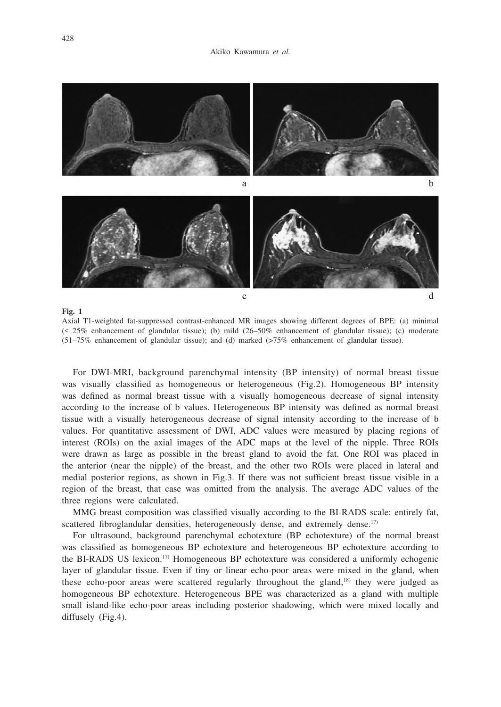

Axial T1-weighted fat-suppressed contrast-enhanced MR images showing different degrees of BPE: (a) minimal (≤ 25% enhancement of glandular tissue); (b) mild (26–50% enhancement of glandular tissue); (c) moderate (51–75% enhancement of glandular tissue); and (d) marked (>75% enhancement of glandular tissue).

For DWI-MRI, background parenchymal intensity (BP intensity) of normal breast tissue was visually classified as homogeneous or heterogeneous (Fig.2). Homogeneous BP intensity was defined as normal breast tissue with a visually homogeneous decrease of signal intensity according to the increase of b values. Heterogeneous BP intensity was defined as normal breast tissue with a visually heterogeneous decrease of signal intensity according to the increase of b values. For quantitative assessment of DWI, ADC values were measured by placing regions of interest (ROIs) on the axial images of the ADC maps at the level of the nipple. Three ROIs were drawn as large as possible in the breast gland to avoid the fat. One ROI was placed in the anterior (near the nipple) of the breast, and the other two ROIs were placed in lateral and medial posterior regions, as shown in Fig.3. If there was not sufficient breast tissue visible in a region of the breast, that case was omitted from the analysis. The average ADC values of the three regions were calculated.

MMG breast composition was classified visually according to the BI-RADS scale: entirely fat, scattered fibroglandular densities, heterogeneously dense, and extremely dense.<sup>17)</sup>

For ultrasound, background parenchymal echotexture (BP echotexture) of the normal breast was classified as homogeneous BP echotexture and heterogeneous BP echotexture according to the BI-RADS US lexicon.17) Homogeneous BP echotexture was considered a uniformly echogenic layer of glandular tissue. Even if tiny or linear echo-poor areas were mixed in the gland, when these echo-poor areas were scattered regularly throughout the gland,<sup>18)</sup> they were judged as homogeneous BP echotexture. Heterogeneous BPE was characterized as a gland with multiple small island-like echo-poor areas including posterior shadowing, which were mixed locally and diffusely (Fig.4).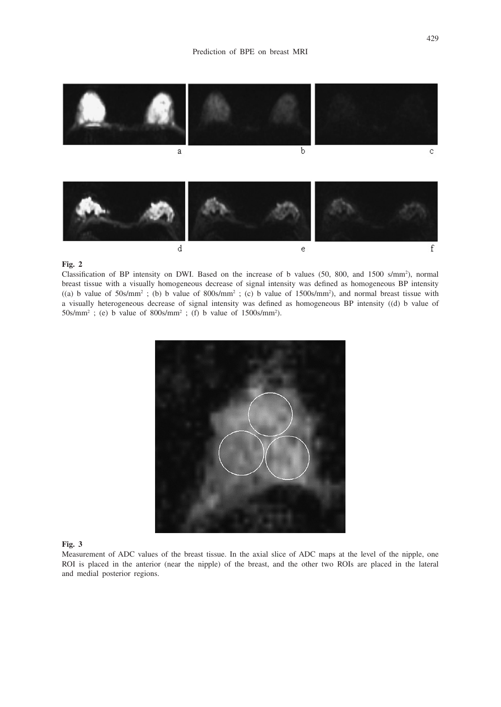

#### **Fig. 2**

Classification of BP intensity on DWI. Based on the increase of b values (50, 800, and 1500 s/mm2 ), normal breast tissue with a visually homogeneous decrease of signal intensity was defined as homogeneous BP intensity  $((a)$  b value of 50s/mm<sup>2</sup>; (b) b value of 800s/mm<sup>2</sup>; (c) b value of 1500s/mm<sup>2</sup>), and normal breast tissue with a visually heterogeneous decrease of signal intensity was defined as homogeneous BP intensity ((d) b value of  $50$ s/mm<sup>2</sup>; (e) b value of  $800$ s/mm<sup>2</sup>; (f) b value of  $1500$ s/mm<sup>2</sup>).



#### **Fig. 3**

Measurement of ADC values of the breast tissue. In the axial slice of ADC maps at the level of the nipple, one ROI is placed in the anterior (near the nipple) of the breast, and the other two ROIs are placed in the lateral and medial posterior regions.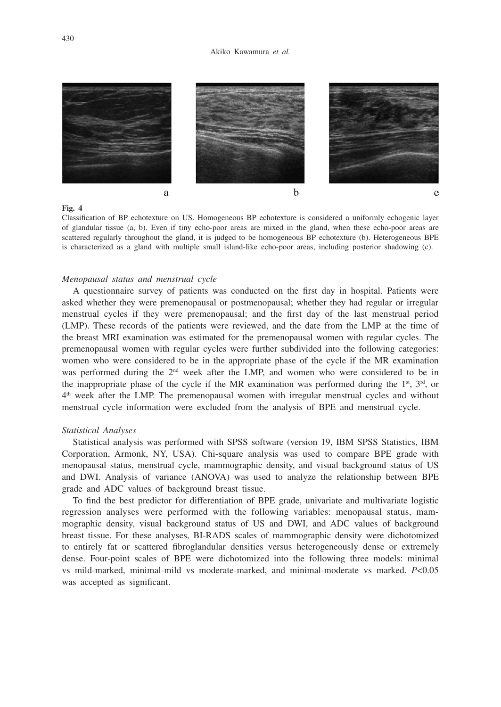

**Fig. 4**

Classification of BP echotexture on US. Homogeneous BP echotexture is considered a uniformly echogenic layer of glandular tissue (a, b). Even if tiny echo-poor areas are mixed in the gland, when these echo-poor areas are scattered regularly throughout the gland, it is judged to be homogeneous BP echotexture (b). Heterogeneous BPE is characterized as a gland with multiple small island-like echo-poor areas, including posterior shadowing (c).

## *Menopausal status and menstrual cycle*

A questionnaire survey of patients was conducted on the first day in hospital. Patients were asked whether they were premenopausal or postmenopausal; whether they had regular or irregular menstrual cycles if they were premenopausal; and the first day of the last menstrual period (LMP). These records of the patients were reviewed, and the date from the LMP at the time of the breast MRI examination was estimated for the premenopausal women with regular cycles. The premenopausal women with regular cycles were further subdivided into the following categories: women who were considered to be in the appropriate phase of the cycle if the MR examination was performed during the  $2<sup>nd</sup>$  week after the LMP, and women who were considered to be in the inappropriate phase of the cycle if the MR examination was performed during the  $1<sup>st</sup>$ ,  $3<sup>rd</sup>$ , or  $4<sup>th</sup>$  week after the LMP. The premenopausal women with irregular menstrual cycles and without menstrual cycle information were excluded from the analysis of BPE and menstrual cycle.

## *Statistical Analyses*

Statistical analysis was performed with SPSS software (version 19, IBM SPSS Statistics, IBM Corporation, Armonk, NY, USA). Chi-square analysis was used to compare BPE grade with menopausal status, menstrual cycle, mammographic density, and visual background status of US and DWI. Analysis of variance (ANOVA) was used to analyze the relationship between BPE grade and ADC values of background breast tissue.

To find the best predictor for differentiation of BPE grade, univariate and multivariate logistic regression analyses were performed with the following variables: menopausal status, mammographic density, visual background status of US and DWI, and ADC values of background breast tissue. For these analyses, BI-RADS scales of mammographic density were dichotomized to entirely fat or scattered fibroglandular densities versus heterogeneously dense or extremely dense. Four-point scales of BPE were dichotomized into the following three models: minimal vs mild-marked, minimal-mild vs moderate-marked, and minimal-moderate vs marked. *P*<0.05 was accepted as significant.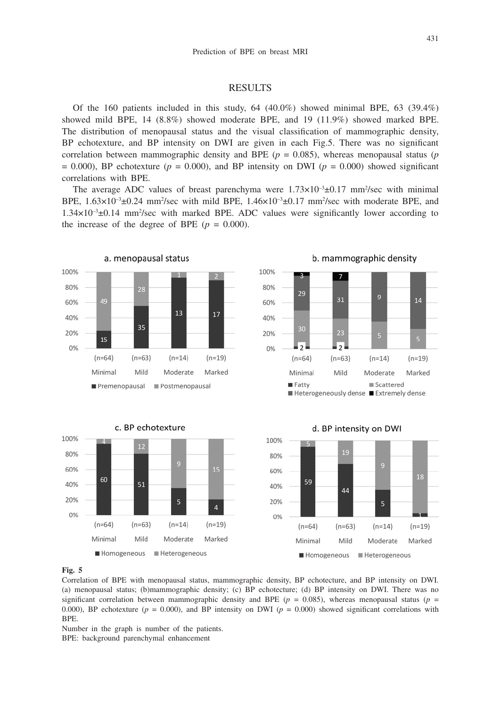# RESULTS

Of the 160 patients included in this study,  $64$  (40.0%) showed minimal BPE,  $63$  (39.4%) showed mild BPE, 14 (8.8%) showed moderate BPE, and 19 (11.9%) showed marked BPE. The distribution of menopausal status and the visual classification of mammographic density, BP echotexture, and BP intensity on DWI are given in each Fig.5. There was no significant correlation between mammographic density and BPE ( $p = 0.085$ ), whereas menopausal status ( $p$ )  $= 0.000$ ), BP echotexture ( $p = 0.000$ ), and BP intensity on DWI ( $p = 0.000$ ) showed significant correlations with BPE.

The average ADC values of breast parenchyma were  $1.73 \times 10^{-3} \pm 0.17$  mm<sup>2</sup>/sec with minimal BPE,  $1.63 \times 10^{-3} \pm 0.24$  mm<sup>2</sup>/sec with mild BPE,  $1.46 \times 10^{-3} \pm 0.17$  mm<sup>2</sup>/sec with moderate BPE, and  $1.34 \times 10^{-3} \pm 0.14$  mm<sup>2</sup>/sec with marked BPE. ADC values were significantly lower according to the increase of the degree of BPE  $(p = 0.000)$ .









# **Fig. 5**

Correlation of BPE with menopausal status, mammographic density, BP echotecture, and BP intensity on DWI. (a) menopausal status; (b)mammographic density; (c) BP echotecture; (d) BP intensity on DWI. There was no significant correlation between mammographic density and BPE ( $p = 0.085$ ), whereas menopausal status ( $p =$ 0.000), BP echotexture ( $p = 0.000$ ), and BP intensity on DWI ( $p = 0.000$ ) showed significant correlations with BPE.

Number in the graph is number of the patients. BPE: background parenchymal enhancement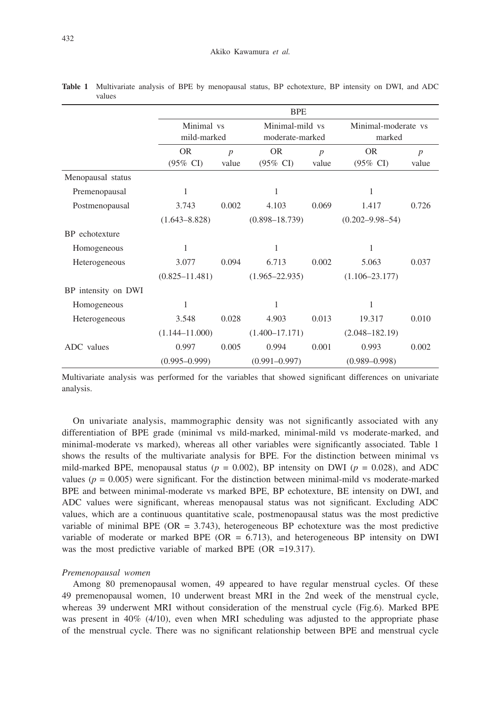|                     | <b>BPE</b>                       |                         |                                    |                         |                                  |                           |  |  |
|---------------------|----------------------------------|-------------------------|------------------------------------|-------------------------|----------------------------------|---------------------------|--|--|
|                     | Minimal vs<br>mild-marked        |                         | Minimal-mild vs<br>moderate-marked |                         | Minimal-moderate vs<br>marked    |                           |  |  |
|                     | <b>OR</b><br>$(95\% \text{ CI})$ | $\overline{p}$<br>value | <b>OR</b><br>$(95\% \text{ CI})$   | $\overline{p}$<br>value | <b>OR</b><br>$(95\% \text{ CI})$ | $\boldsymbol{p}$<br>value |  |  |
| Menopausal status   |                                  |                         |                                    |                         |                                  |                           |  |  |
| Premenopausal       | 1                                |                         | 1                                  |                         | 1                                |                           |  |  |
| Postmenopausal      | 3.743                            | 0.002                   | 4.103                              | 0.069                   | 1.417                            | 0.726                     |  |  |
|                     | $(1.643 - 8.828)$                |                         | $(0.898 - 18.739)$                 |                         | $(0.202 - 9.98 - 54)$            |                           |  |  |
| BP echotexture      |                                  |                         |                                    |                         |                                  |                           |  |  |
| Homogeneous         | 1                                |                         | 1                                  |                         | 1                                |                           |  |  |
| Heterogeneous       | 3.077                            | 0.094                   | 6.713                              | 0.002                   | 5.063                            | 0.037                     |  |  |
|                     | $(0.825 - 11.481)$               |                         | $(1.965 - 22.935)$                 |                         | $(1.106 - 23.177)$               |                           |  |  |
| BP intensity on DWI |                                  |                         |                                    |                         |                                  |                           |  |  |
| Homogeneous         | 1                                |                         | 1                                  |                         | 1                                |                           |  |  |
| Heterogeneous       | 3.548                            | 0.028                   | 4.903                              | 0.013                   | 19.317                           | 0.010                     |  |  |
|                     | $(1.144 - 11.000)$               |                         | $(1.400 - 17.171)$                 |                         | $(2.048 - 182.19)$               |                           |  |  |
| ADC values          | 0.997                            | 0.005                   | 0.994                              | 0.001                   | 0.993                            | 0.002                     |  |  |
|                     | $(0.995 - 0.999)$                |                         | $(0.991 - 0.997)$                  |                         | $(0.989 - 0.998)$                |                           |  |  |

**Table 1** Multivariate analysis of BPE by menopausal status, BP echotexture, BP intensity on DWI, and ADC values

Multivariate analysis was performed for the variables that showed significant differences on univariate analysis.

On univariate analysis, mammographic density was not significantly associated with any differentiation of BPE grade (minimal vs mild-marked, minimal-mild vs moderate-marked, and minimal-moderate vs marked), whereas all other variables were significantly associated. Table 1 shows the results of the multivariate analysis for BPE. For the distinction between minimal vs mild-marked BPE, menopausal status ( $p = 0.002$ ), BP intensity on DWI ( $p = 0.028$ ), and ADC values ( $p = 0.005$ ) were significant. For the distinction between minimal-mild vs moderate-marked BPE and between minimal-moderate vs marked BPE, BP echotexture, BE intensity on DWI, and ADC values were significant, whereas menopausal status was not significant. Excluding ADC values, which are a continuous quantitative scale, postmenopausal status was the most predictive variable of minimal BPE ( $OR = 3.743$ ), heterogeneous BP echotexture was the most predictive variable of moderate or marked BPE ( $OR = 6.713$ ), and heterogeneous BP intensity on DWI was the most predictive variable of marked BPE (OR =19.317).

#### *Premenopausal women*

Among 80 premenopausal women, 49 appeared to have regular menstrual cycles. Of these 49 premenopausal women, 10 underwent breast MRI in the 2nd week of the menstrual cycle, whereas 39 underwent MRI without consideration of the menstrual cycle (Fig.6). Marked BPE was present in 40% (4/10), even when MRI scheduling was adjusted to the appropriate phase of the menstrual cycle. There was no significant relationship between BPE and menstrual cycle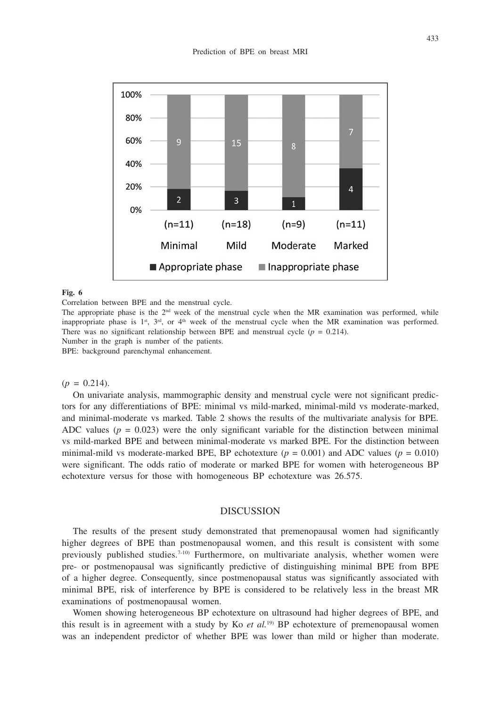

## **Fig. 6**

Correlation between BPE and the menstrual cycle.

The appropriate phase is the 2<sup>nd</sup> week of the menstrual cycle when the MR examination was performed, while inappropriate phase is  $1^{st}$ ,  $3^{rd}$ , or  $4^{th}$  week of the menstrual cycle when the MR examination was performed. There was no significant relationship between BPE and menstrual cycle  $(p = 0.214)$ . Number in the graph is number of the patients.

BPE: background parenchymal enhancement.

 $(p = 0.214)$ .

On univariate analysis, mammographic density and menstrual cycle were not significant predictors for any differentiations of BPE: minimal vs mild-marked, minimal-mild vs moderate-marked, and minimal-moderate vs marked. Table 2 shows the results of the multivariate analysis for BPE. ADC values  $(p = 0.023)$  were the only significant variable for the distinction between minimal vs mild-marked BPE and between minimal-moderate vs marked BPE. For the distinction between minimal-mild vs moderate-marked BPE, BP echotexture  $(p = 0.001)$  and ADC values  $(p = 0.010)$ were significant. The odds ratio of moderate or marked BPE for women with heterogeneous BP echotexture versus for those with homogeneous BP echotexture was 26.575.

# DISCUSSION

The results of the present study demonstrated that premenopausal women had significantly higher degrees of BPE than postmenopausal women, and this result is consistent with some previously published studies.7-10) Furthermore, on multivariate analysis, whether women were pre- or postmenopausal was significantly predictive of distinguishing minimal BPE from BPE of a higher degree. Consequently, since postmenopausal status was significantly associated with minimal BPE, risk of interference by BPE is considered to be relatively less in the breast MR examinations of postmenopausal women.

Women showing heterogeneous BP echotexture on ultrasound had higher degrees of BPE, and this result is in agreement with a study by Ko *et al.*<sup>19)</sup> BP echotexture of premenopausal women was an independent predictor of whether BPE was lower than mild or higher than moderate.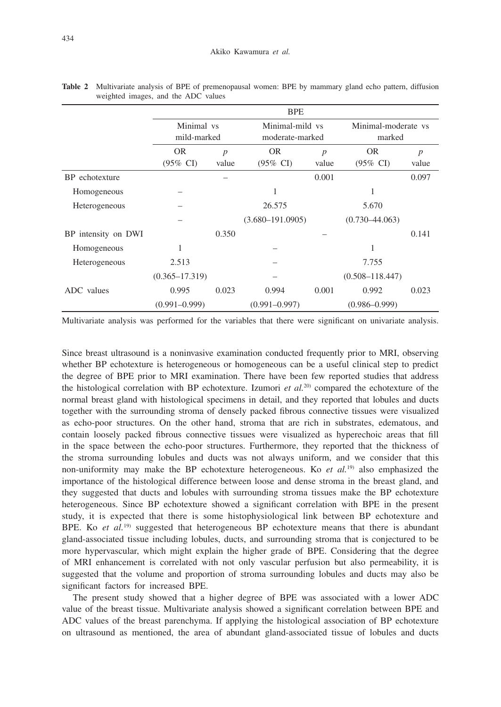|                      | <b>BPE</b>                       |                           |                                    |            |                                  |                           |  |  |  |
|----------------------|----------------------------------|---------------------------|------------------------------------|------------|----------------------------------|---------------------------|--|--|--|
|                      | Minimal vs<br>mild-marked        |                           | Minimal-mild vs<br>moderate-marked |            | Minimal-moderate vs<br>marked    |                           |  |  |  |
|                      | <b>OR</b><br>$(95\% \text{ CI})$ | $\boldsymbol{p}$<br>value | <b>OR</b><br>$(95\% \text{ CI})$   | p<br>value | <b>OR</b><br>$(95\% \text{ CI})$ | $\boldsymbol{p}$<br>value |  |  |  |
| BP echotexture       |                                  |                           |                                    | 0.001      |                                  | 0.097                     |  |  |  |
| Homogeneous          |                                  |                           | 1                                  |            | 1                                |                           |  |  |  |
| <b>Heterogeneous</b> |                                  |                           | 26.575                             |            | 5.670                            |                           |  |  |  |
|                      |                                  |                           | $(3.680 - 191.0905)$               |            | $(0.730 - 44.063)$               |                           |  |  |  |
| BP intensity on DWI  |                                  | 0.350                     |                                    |            |                                  | 0.141                     |  |  |  |
| Homogeneous          | 1                                |                           |                                    |            | 1                                |                           |  |  |  |
| Heterogeneous        | 2.513                            |                           |                                    |            | 7.755                            |                           |  |  |  |
|                      | $(0.365 - 17.319)$               |                           |                                    |            | $(0.508 - 118.447)$              |                           |  |  |  |
| ADC values           | 0.995                            | 0.023                     | 0.994                              | 0.001      | 0.992                            | 0.023                     |  |  |  |
|                      | $(0.991 - 0.999)$                |                           | $(0.991 - 0.997)$                  |            | $(0.986 - 0.999)$                |                           |  |  |  |

**Table 2** Multivariate analysis of BPE of premenopausal women: BPE by mammary gland echo pattern, diffusion weighted images, and the ADC values

Multivariate analysis was performed for the variables that there were significant on univariate analysis.

Since breast ultrasound is a noninvasive examination conducted frequently prior to MRI, observing whether BP echotexture is heterogeneous or homogeneous can be a useful clinical step to predict the degree of BPE prior to MRI examination. There have been few reported studies that address the histological correlation with BP echotexture. Izumori *et al.*<sup>20</sup> compared the echotexture of the normal breast gland with histological specimens in detail, and they reported that lobules and ducts together with the surrounding stroma of densely packed fibrous connective tissues were visualized as echo-poor structures. On the other hand, stroma that are rich in substrates, edematous, and contain loosely packed fibrous connective tissues were visualized as hyperechoic areas that fill in the space between the echo-poor structures. Furthermore, they reported that the thickness of the stroma surrounding lobules and ducts was not always uniform, and we consider that this non-uniformity may make the BP echotexture heterogeneous. Ko *et al.*<sup>19)</sup> also emphasized the importance of the histological difference between loose and dense stroma in the breast gland, and they suggested that ducts and lobules with surrounding stroma tissues make the BP echotexture heterogeneous. Since BP echotexture showed a significant correlation with BPE in the present study, it is expected that there is some histophysiological link between BP echotexture and BPE. Ko et al.<sup>19)</sup> suggested that heterogeneous BP echotexture means that there is abundant gland-associated tissue including lobules, ducts, and surrounding stroma that is conjectured to be more hypervascular, which might explain the higher grade of BPE. Considering that the degree of MRI enhancement is correlated with not only vascular perfusion but also permeability, it is suggested that the volume and proportion of stroma surrounding lobules and ducts may also be significant factors for increased BPE.

The present study showed that a higher degree of BPE was associated with a lower ADC value of the breast tissue. Multivariate analysis showed a significant correlation between BPE and ADC values of the breast parenchyma. If applying the histological association of BP echotexture on ultrasound as mentioned, the area of abundant gland-associated tissue of lobules and ducts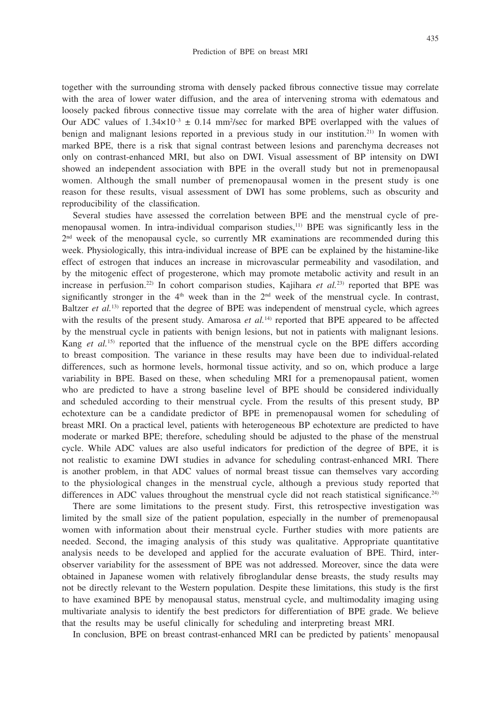435

together with the surrounding stroma with densely packed fibrous connective tissue may correlate with the area of lower water diffusion, and the area of intervening stroma with edematous and loosely packed fibrous connective tissue may correlate with the area of higher water diffusion. Our ADC values of  $1.34 \times 10^{-3} \pm 0.14$  mm<sup>2</sup>/sec for marked BPE overlapped with the values of benign and malignant lesions reported in a previous study in our institution.<sup>21)</sup> In women with marked BPE, there is a risk that signal contrast between lesions and parenchyma decreases not only on contrast-enhanced MRI, but also on DWI. Visual assessment of BP intensity on DWI showed an independent association with BPE in the overall study but not in premenopausal women. Although the small number of premenopausal women in the present study is one reason for these results, visual assessment of DWI has some problems, such as obscurity and reproducibility of the classification.

Several studies have assessed the correlation between BPE and the menstrual cycle of premenopausal women. In intra-individual comparison studies, $11$  BPE was significantly less in the  $2<sup>nd</sup>$  week of the menopausal cycle, so currently MR examinations are recommended during this week. Physiologically, this intra-individual increase of BPE can be explained by the histamine-like effect of estrogen that induces an increase in microvascular permeability and vasodilation, and by the mitogenic effect of progesterone, which may promote metabolic activity and result in an increase in perfusion.22) In cohort comparison studies, Kajihara *et al.*23) reported that BPE was significantly stronger in the  $4<sup>th</sup>$  week than in the  $2<sup>nd</sup>$  week of the menstrual cycle. In contrast, Baltzer *et al.*<sup>13)</sup> reported that the degree of BPE was independent of menstrual cycle, which agrees with the results of the present study. Amarosa *et al.*<sup>14)</sup> reported that BPE appeared to be affected by the menstrual cycle in patients with benign lesions, but not in patients with malignant lesions. Kang *et al.*<sup>15)</sup> reported that the influence of the menstrual cycle on the BPE differs according to breast composition. The variance in these results may have been due to individual-related differences, such as hormone levels, hormonal tissue activity, and so on, which produce a large variability in BPE. Based on these, when scheduling MRI for a premenopausal patient, women who are predicted to have a strong baseline level of BPE should be considered individually and scheduled according to their menstrual cycle. From the results of this present study, BP echotexture can be a candidate predictor of BPE in premenopausal women for scheduling of breast MRI. On a practical level, patients with heterogeneous BP echotexture are predicted to have moderate or marked BPE; therefore, scheduling should be adjusted to the phase of the menstrual cycle. While ADC values are also useful indicators for prediction of the degree of BPE, it is not realistic to examine DWI studies in advance for scheduling contrast-enhanced MRI. There is another problem, in that ADC values of normal breast tissue can themselves vary according to the physiological changes in the menstrual cycle, although a previous study reported that differences in ADC values throughout the menstrual cycle did not reach statistical significance.<sup>24)</sup>

There are some limitations to the present study. First, this retrospective investigation was limited by the small size of the patient population, especially in the number of premenopausal women with information about their menstrual cycle. Further studies with more patients are needed. Second, the imaging analysis of this study was qualitative. Appropriate quantitative analysis needs to be developed and applied for the accurate evaluation of BPE. Third, interobserver variability for the assessment of BPE was not addressed. Moreover, since the data were obtained in Japanese women with relatively fibroglandular dense breasts, the study results may not be directly relevant to the Western population. Despite these limitations, this study is the first to have examined BPE by menopausal status, menstrual cycle, and multimodality imaging using multivariate analysis to identify the best predictors for differentiation of BPE grade. We believe that the results may be useful clinically for scheduling and interpreting breast MRI.

In conclusion, BPE on breast contrast-enhanced MRI can be predicted by patients' menopausal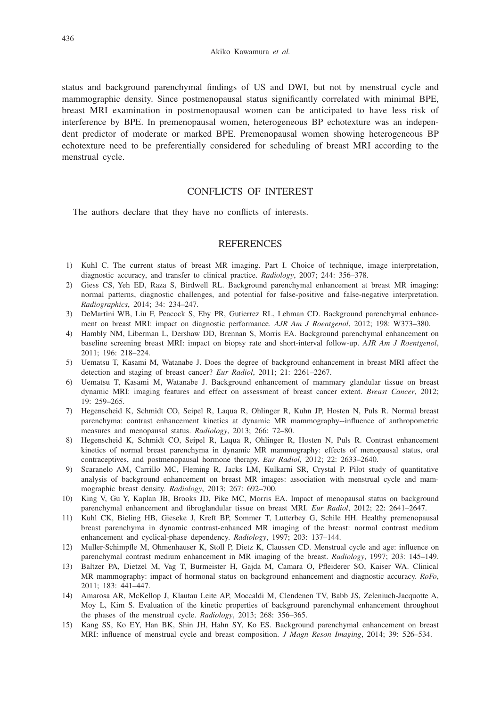status and background parenchymal findings of US and DWI, but not by menstrual cycle and mammographic density. Since postmenopausal status significantly correlated with minimal BPE, breast MRI examination in postmenopausal women can be anticipated to have less risk of interference by BPE. In premenopausal women, heterogeneous BP echotexture was an independent predictor of moderate or marked BPE. Premenopausal women showing heterogeneous BP echotexture need to be preferentially considered for scheduling of breast MRI according to the menstrual cycle.

# CONFLICTS OF INTEREST

The authors declare that they have no conflicts of interests.

# **REFERENCES**

- 1) Kuhl C. The current status of breast MR imaging. Part I. Choice of technique, image interpretation, diagnostic accuracy, and transfer to clinical practice. *Radiology*, 2007; 244: 356–378.
- 2) Giess CS, Yeh ED, Raza S, Birdwell RL. Background parenchymal enhancement at breast MR imaging: normal patterns, diagnostic challenges, and potential for false-positive and false-negative interpretation. *Radiographics*, 2014; 34: 234–247.
- 3) DeMartini WB, Liu F, Peacock S, Eby PR, Gutierrez RL, Lehman CD. Background parenchymal enhancement on breast MRI: impact on diagnostic performance. *AJR Am J Roentgenol*, 2012; 198: W373–380.
- 4) Hambly NM, Liberman L, Dershaw DD, Brennan S, Morris EA. Background parenchymal enhancement on baseline screening breast MRI: impact on biopsy rate and short-interval follow-up. *AJR Am J Roentgenol*, 2011; 196: 218–224.
- 5) Uematsu T, Kasami M, Watanabe J. Does the degree of background enhancement in breast MRI affect the detection and staging of breast cancer? *Eur Radiol*, 2011; 21: 2261–2267.
- 6) Uematsu T, Kasami M, Watanabe J. Background enhancement of mammary glandular tissue on breast dynamic MRI: imaging features and effect on assessment of breast cancer extent. *Breast Cancer*, 2012; 19: 259–265.
- 7) Hegenscheid K, Schmidt CO, Seipel R, Laqua R, Ohlinger R, Kuhn JP, Hosten N, Puls R. Normal breast parenchyma: contrast enhancement kinetics at dynamic MR mammography--influence of anthropometric measures and menopausal status. *Radiology*, 2013; 266: 72–80.
- 8) Hegenscheid K, Schmidt CO, Seipel R, Laqua R, Ohlinger R, Hosten N, Puls R. Contrast enhancement kinetics of normal breast parenchyma in dynamic MR mammography: effects of menopausal status, oral contraceptives, and postmenopausal hormone therapy. *Eur Radiol*, 2012; 22: 2633–2640.
- 9) Scaranelo AM, Carrillo MC, Fleming R, Jacks LM, Kulkarni SR, Crystal P. Pilot study of quantitative analysis of background enhancement on breast MR images: association with menstrual cycle and mammographic breast density. *Radiology*, 2013; 267: 692–700.
- 10) King V, Gu Y, Kaplan JB, Brooks JD, Pike MC, Morris EA. Impact of menopausal status on background parenchymal enhancement and fibroglandular tissue on breast MRI. *Eur Radiol*, 2012; 22: 2641–2647.
- 11) Kuhl CK, Bieling HB, Gieseke J, Kreft BP, Sommer T, Lutterbey G, Schile HH. Healthy premenopausal breast parenchyma in dynamic contrast-enhanced MR imaging of the breast: normal contrast medium enhancement and cyclical-phase dependency. *Radiology*, 1997; 203: 137–144.
- 12) Muller-Schimpfle M, Ohmenhauser K, Stoll P, Dietz K, Claussen CD. Menstrual cycle and age: influence on parenchymal contrast medium enhancement in MR imaging of the breast. *Radiology*, 1997; 203: 145–149.
- 13) Baltzer PA, Dietzel M, Vag T, Burmeister H, Gajda M, Camara O, Pfleiderer SO, Kaiser WA. Clinical MR mammography: impact of hormonal status on background enhancement and diagnostic accuracy. *RoFo*, 2011; 183: 441–447.
- 14) Amarosa AR, McKellop J, Klautau Leite AP, Moccaldi M, Clendenen TV, Babb JS, Zeleniuch-Jacquotte A, Moy L, Kim S. Evaluation of the kinetic properties of background parenchymal enhancement throughout the phases of the menstrual cycle. *Radiology*, 2013; 268: 356–365.
- 15) Kang SS, Ko EY, Han BK, Shin JH, Hahn SY, Ko ES. Background parenchymal enhancement on breast MRI: influence of menstrual cycle and breast composition. *J Magn Reson Imaging*, 2014; 39: 526–534.